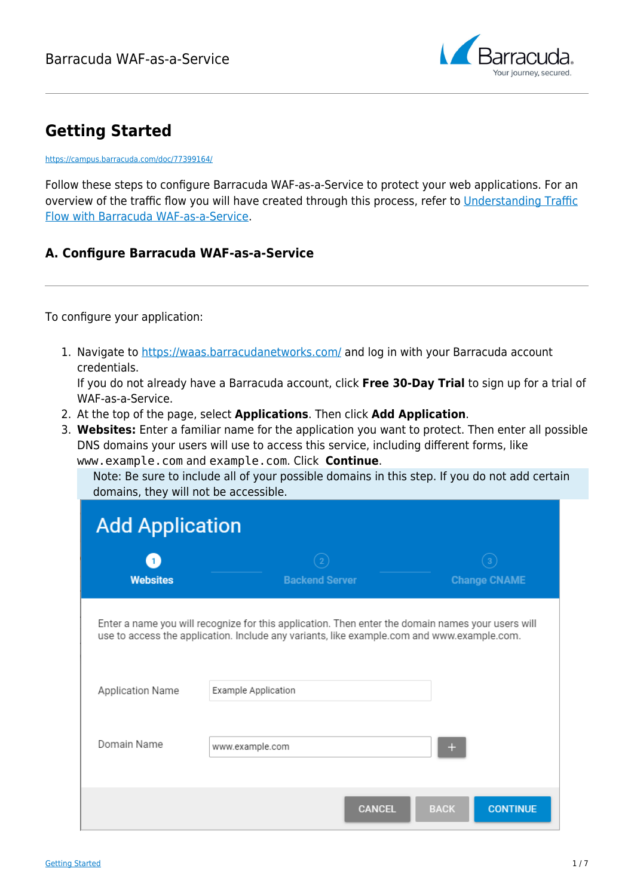

# **Getting Started**

<https://campus.barracuda.com/doc/77399164/>

Follow these steps to configure Barracuda WAF-as-a-Service to protect your web applications. For an overview of the traffic flow you will have created through this process, refer to [Understanding Traffic](http://campus.barracuda.com/doc/77401087/) [Flow with Barracuda WAF-as-a-Service.](http://campus.barracuda.com/doc/77401087/)

# **A. Configure Barracuda WAF-as-a-Service**

To configure your application:

1. Navigate to<https://waas.barracudanetworks.com/>and log in with your Barracuda account credentials.

If you do not already have a Barracuda account, click **Free 30-Day Trial** to sign up for a trial of WAF-as-a-Service.

- 2. At the top of the page, select **Applications**. Then click **Add Application**.
- 3. **Websites:** Enter a familiar name for the application you want to protect. Then enter all possible DNS domains your users will use to access this service, including different forms, like www.example.com and example.com. Click **Continue**.

Note: Be sure to include all of your possible domains in this step. If you do not add certain domains, they will not be accessible.

| <b>Add Application</b>                                                                                                                                                                          |                       |                                |  |  |
|-------------------------------------------------------------------------------------------------------------------------------------------------------------------------------------------------|-----------------------|--------------------------------|--|--|
| <b>Websites</b>                                                                                                                                                                                 | <b>Backend Server</b> | <b>Change CNAME</b>            |  |  |
| Enter a name you will recognize for this application. Then enter the domain names your users will<br>use to access the application. Include any variants, like example.com and www.example.com. |                       |                                |  |  |
| Application Name                                                                                                                                                                                | Example Application   |                                |  |  |
| Domain Name                                                                                                                                                                                     | www.example.com       |                                |  |  |
|                                                                                                                                                                                                 | <b>CANCEL</b>         | <b>BACK</b><br><b>CONTINUE</b> |  |  |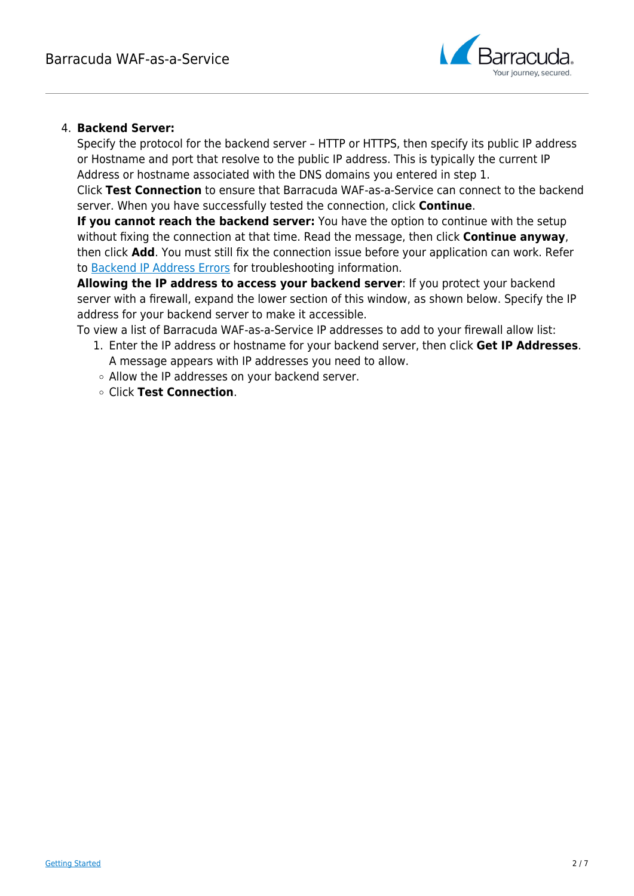

### 4. **Backend Server:**

Specify the protocol for the backend server – HTTP or HTTPS, then specify its public IP address or Hostname and port that resolve to the public IP address. This is typically the current IP Address or hostname associated with the DNS domains you entered in step 1.

Click **Test Connection** to ensure that Barracuda WAF-as-a-Service can connect to the backend server. When you have successfully tested the connection, click **Continue**.

**If you cannot reach the backend server:** You have the option to continue with the setup without fixing the connection at that time. Read the message, then click **Continue anyway**, then click **Add**. You must still fix the connection issue before your application can work. Refer to [Backend IP Address Errors](http://campus.barracuda.com/doc/77399166/) for troubleshooting information.

**Allowing the IP address to access your backend server**: If you protect your backend server with a firewall, expand the lower section of this window, as shown below. Specify the IP address for your backend server to make it accessible.

To view a list of Barracuda WAF-as-a-Service IP addresses to add to your firewall allow list:

- 1. Enter the IP address or hostname for your backend server, then click **Get IP Addresses**. A message appears with IP addresses you need to allow.
- Allow the IP addresses on your backend server.
- Click **Test Connection**.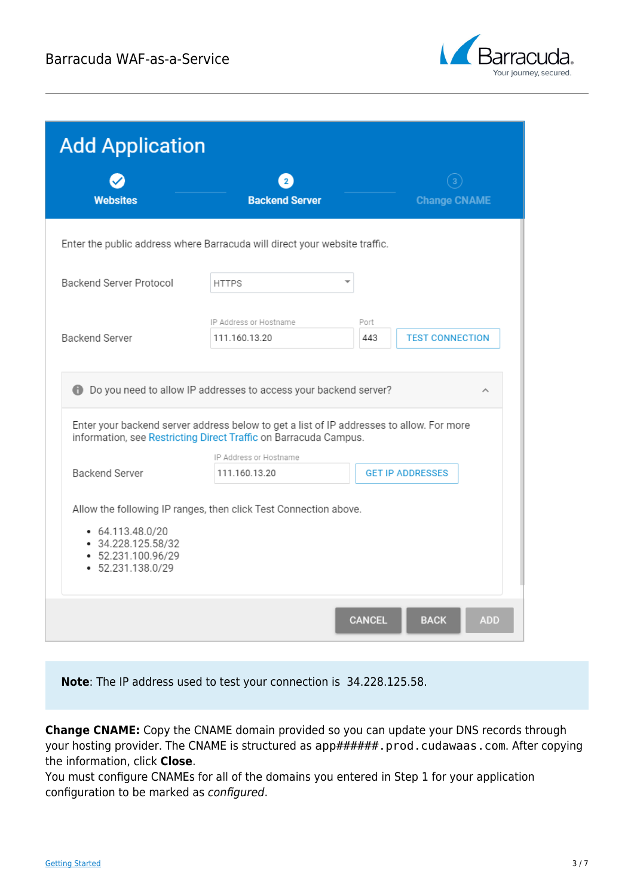

| <b>Add Application</b>                                                                                                                                       |                                                                            |                                            |  |  |
|--------------------------------------------------------------------------------------------------------------------------------------------------------------|----------------------------------------------------------------------------|--------------------------------------------|--|--|
|                                                                                                                                                              | $\overline{2}$                                                             |                                            |  |  |
| <b>Websites</b>                                                                                                                                              | <b>Backend Server</b>                                                      | <b>Change CNAME</b>                        |  |  |
|                                                                                                                                                              | Enter the public address where Barracuda will direct your website traffic. |                                            |  |  |
| Backend Server Protocol                                                                                                                                      | <b>HTTPS</b>                                                               |                                            |  |  |
|                                                                                                                                                              |                                                                            |                                            |  |  |
|                                                                                                                                                              | IP Address or Hostname                                                     | Port                                       |  |  |
| Backend Server                                                                                                                                               | 111.160.13.20                                                              | <b>TEST CONNECTION</b><br>443              |  |  |
| Enter your backend server address below to get a list of IP addresses to allow. For more<br>information, see Restricting Direct Traffic on Barracuda Campus. |                                                                            |                                            |  |  |
|                                                                                                                                                              | IP Address or Hostname                                                     |                                            |  |  |
| <b>Backend Server</b>                                                                                                                                        | 111.160.13.20                                                              | <b>GET IP ADDRESSES</b>                    |  |  |
| 64.113.48.0/20<br>$-34.228.125.58/32$<br>$-52.231.100.96/29$<br>$-52.231.138.0/29$                                                                           | Allow the following IP ranges, then click Test Connection above.           |                                            |  |  |
|                                                                                                                                                              |                                                                            | <b>CANCEL</b><br><b>BACK</b><br><b>ADD</b> |  |  |

**Note**: The IP address used to test your connection is 34.228.125.58.

**Change CNAME:** Copy the CNAME domain provided so you can update your DNS records through your hosting provider. The CNAME is structured as app######.prod.cudawaas.com. After copying the information, click **Close**.

You must configure CNAMEs for all of the domains you entered in Step 1 for your application configuration to be marked as configured.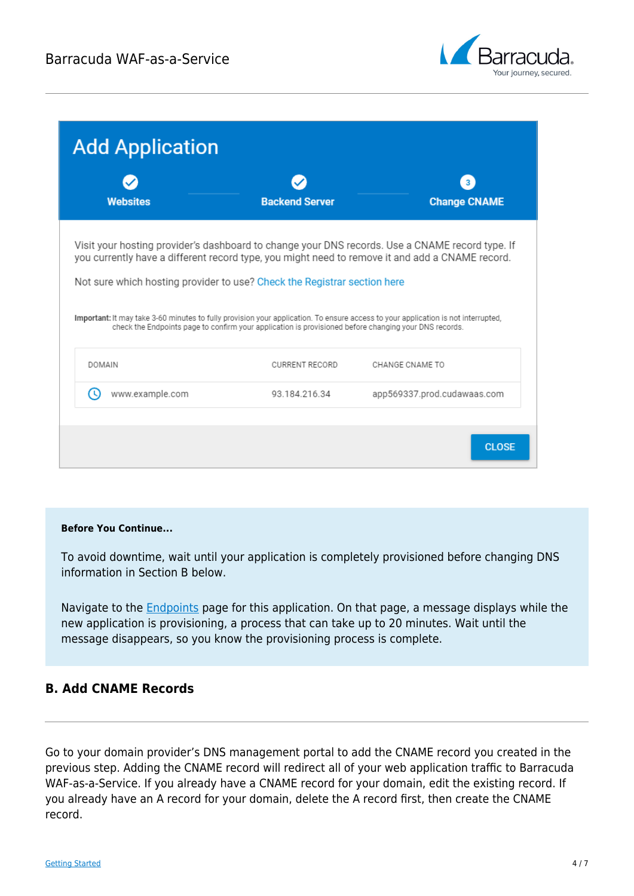

| <b>Add Application</b>                                                                                                                                                                                                                                                                                                                                                                                                                                                                                                       |                       |                             |  |  |
|------------------------------------------------------------------------------------------------------------------------------------------------------------------------------------------------------------------------------------------------------------------------------------------------------------------------------------------------------------------------------------------------------------------------------------------------------------------------------------------------------------------------------|-----------------------|-----------------------------|--|--|
| <b>Websites</b>                                                                                                                                                                                                                                                                                                                                                                                                                                                                                                              | <b>Backend Server</b> | <b>Change CNAME</b>         |  |  |
| Visit your hosting provider's dashboard to change your DNS records. Use a CNAME record type. If<br>you currently have a different record type, you might need to remove it and add a CNAME record.<br>Not sure which hosting provider to use? Check the Registrar section here<br>Important: It may take 3-60 minutes to fully provision your application. To ensure access to your application is not interrupted,<br>check the Endpoints page to confirm your application is provisioned before changing your DNS records. |                       |                             |  |  |
| <b>DOMAIN</b>                                                                                                                                                                                                                                                                                                                                                                                                                                                                                                                | <b>CURRENT RECORD</b> | CHANGE CNAME TO             |  |  |
| www.example.com                                                                                                                                                                                                                                                                                                                                                                                                                                                                                                              | 93.184.216.34         | app569337.prod.cudawaas.com |  |  |
|                                                                                                                                                                                                                                                                                                                                                                                                                                                                                                                              |                       | <b>CLOSE</b>                |  |  |

#### **Before You Continue...**

To avoid downtime, wait until your application is completely provisioned before changing DNS information in Section B below.

Navigate to the **Endpoints** page for this application. On that page, a message displays while the new application is provisioning, a process that can take up to 20 minutes. Wait until the message disappears, so you know the provisioning process is complete.

### **B. Add CNAME Records**

Go to your domain provider's DNS management portal to add the CNAME record you created in the previous step. Adding the CNAME record will redirect all of your web application traffic to Barracuda WAF-as-a-Service. If you already have a CNAME record for your domain, edit the existing record. If you already have an A record for your domain, delete the A record first, then create the CNAME record.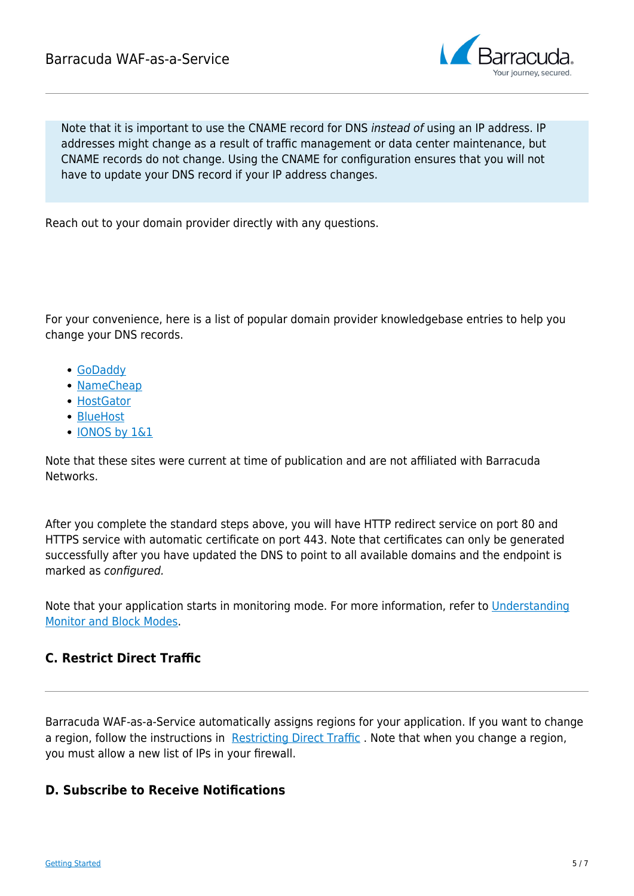

Note that it is important to use the CNAME record for DNS instead of using an IP address. IP addresses might change as a result of traffic management or data center maintenance, but CNAME records do not change. Using the CNAME for configuration ensures that you will not have to update your DNS record if your IP address changes.

Reach out to your domain provider directly with any questions.

For your convenience, here is a list of popular domain provider knowledgebase entries to help you change your DNS records.

- [GoDaddy](https://www.godaddy.com/help/change-an-a-record-19239)
- [NameCheap](https://www.namecheap.com/support/knowledgebase/article.aspx/319/2237/how-can-i-set-up-an-a-address-record-for-my-domain)
- [HostGator](http://support.hostgator.com/articles/hosting-guide/lets-get-started/dns-name-servers/changing-dns-records)
- [BlueHost](https://my.bluehost.com/cgi/help/559)
- [IONOS by 1&1](https://help.1and1.com/domains-c36931/manage-domains-c79822/dns-c37586/change-your-domain-s-ip-address-a-record-a599296.html)

Note that these sites were current at time of publication and are not affiliated with Barracuda Networks.

After you complete the standard steps above, you will have HTTP redirect service on port 80 and HTTPS service with automatic certificate on port 443. Note that certificates can only be generated successfully after you have updated the DNS to point to all available domains and the endpoint is marked as configured.

Note that your application starts in monitoring mode. For more information, refer to [Understanding](http://campus.barracuda.com/doc/77401089/) [Monitor and Block Modes](http://campus.barracuda.com/doc/77401089/).

## **C. Restrict Direct Traffic**

Barracuda WAF-as-a-Service automatically assigns regions for your application. If you want to change a region, follow the instructions in [Restricting Direct Traffic](http://campus.barracuda.com/doc/77401091/). Note that when you change a region, you must allow a new list of IPs in your firewall.

#### **D. Subscribe to Receive Notifications**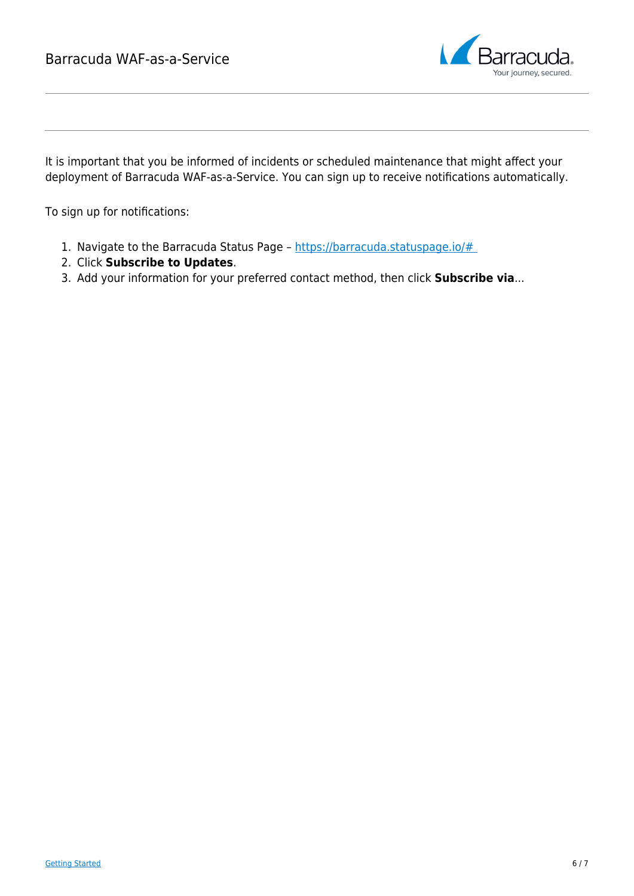

It is important that you be informed of incidents or scheduled maintenance that might affect your deployment of Barracuda WAF-as-a-Service. You can sign up to receive notifications automatically.

To sign up for notifications:

- 1. Navigate to the Barracuda Status Page https://barracuda.statuspage.io/#
- 2. Click **Subscribe to Updates**.
- 3. Add your information for your preferred contact method, then click **Subscribe via**...